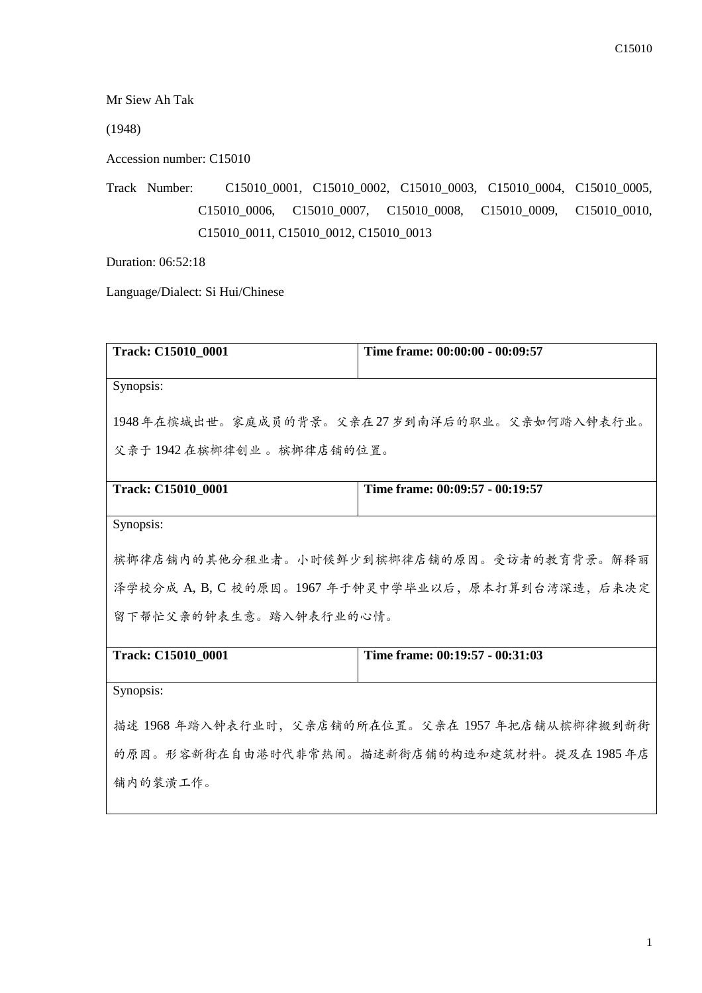Mr Siew Ah Tak

(1948)

Accession number: C15010

Track Number: C15010\_0001, C15010\_0002, C15010\_0003, C15010\_0004, C15010\_0005, C15010\_0006, C15010\_0007, C15010\_0008, C15010\_0009, C15010\_0010, C15010\_0011, C15010\_0012, C15010\_0013

Duration: 06:52:18

Language/Dialect: Si Hui/Chinese

| Track: C15010_0001                                  | Time frame: 00:00:00 - 00:09:57                  |  |
|-----------------------------------------------------|--------------------------------------------------|--|
|                                                     |                                                  |  |
| Synopsis:                                           |                                                  |  |
|                                                     |                                                  |  |
|                                                     | 1948年在槟城出世。家庭成员的背景。父亲在27岁到南洋后的职业。父亲如何踏入钟表行业。     |  |
|                                                     |                                                  |  |
| 父亲于1942在槟榔律创业。槟榔律店铺的位置。                             |                                                  |  |
|                                                     |                                                  |  |
|                                                     |                                                  |  |
| <b>Track: C15010 0001</b>                           | Time frame: 00:09:57 - 00:19:57                  |  |
|                                                     |                                                  |  |
| Synopsis:                                           |                                                  |  |
|                                                     |                                                  |  |
|                                                     | 槟榔律店铺内的其他分租业者。小时候鲜少到槟榔律店铺的原因。受访者的教育背景。解释丽        |  |
|                                                     |                                                  |  |
| 泽学校分成 A, B, C 校的原因。1967 年于钟灵中学毕业以后, 原本打算到台湾深造, 后来决定 |                                                  |  |
|                                                     |                                                  |  |
| 留下帮忙父亲的钟表生意。踏入钟表行业的心情。                              |                                                  |  |
|                                                     |                                                  |  |
| Track: C15010_0001                                  | Time frame: 00:19:57 - 00:31:03                  |  |
|                                                     |                                                  |  |
| Synopsis:                                           |                                                  |  |
|                                                     |                                                  |  |
|                                                     |                                                  |  |
|                                                     | 描述 1968 年踏入钟表行业时,父亲店铺的所在位置。父亲在 1957 年把店铺从槟榔律搬到新街 |  |
|                                                     |                                                  |  |
|                                                     | 的原因。形容新街在自由港时代非常热闹。描述新街店铺的构造和建筑材料。提及在1985年店      |  |
| 铺内的装潢工作。                                            |                                                  |  |
|                                                     |                                                  |  |
|                                                     |                                                  |  |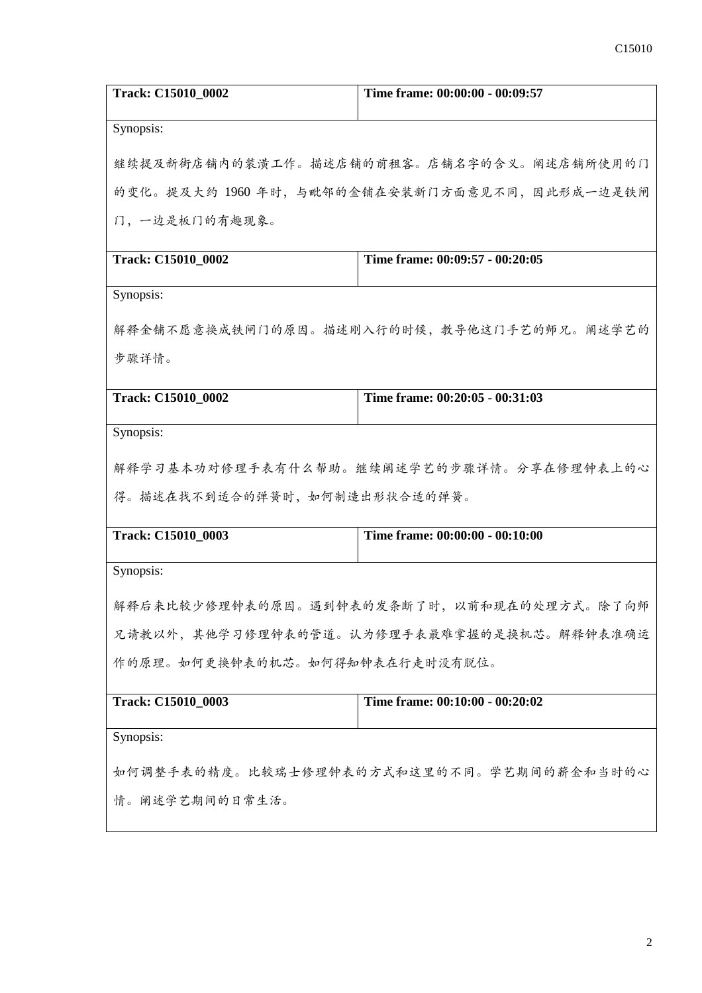| Track: C15010 0002                       | Time frame: 00:00:00 - 00:09:57                |  |
|------------------------------------------|------------------------------------------------|--|
| Synopsis:                                |                                                |  |
|                                          | 继续提及新街店铺内的装潢工作。描述店铺的前租客。店铺名字的含义。阐述店铺所使用的门      |  |
|                                          | 的变化。提及大约 1960 年时, 与毗邻的金铺在安装新门方面意见不同, 因此形成一边是铁闸 |  |
| 门,一边是板门的有趣现象。                            |                                                |  |
| Track: C15010_0002                       | Time frame: 00:09:57 - 00:20:05                |  |
| Synopsis:                                |                                                |  |
|                                          | 解释金铺不愿意换成铁闸门的原因。描述刚入行的时候,教导他这门手艺的师兄。阐述学艺的      |  |
| 步骤详情。                                    |                                                |  |
|                                          |                                                |  |
| <b>Track: C15010 0002</b>                | Time frame: 00:20:05 - 00:31:03                |  |
| Synopsis:                                |                                                |  |
| 解释学习基本功对修理手表有什么帮助。继续阐述学艺的步骤详情。分享在修理钟表上的心 |                                                |  |
| 得。描述在找不到适合的弹簧时,如何制造出形状合适的弹簧。             |                                                |  |
| Track: C15010_0003                       | Time frame: 00:00:00 - 00:10:00                |  |
| Synopsis:                                |                                                |  |
|                                          | 解释后来比较少修理钟表的原因。遇到钟表的发条断了时,以前和现在的处理方式。除了向师      |  |
|                                          | 兄请教以外,其他学习修理钟表的管道。认为修理手表最难掌握的是换机芯。解释钟表准确运      |  |
| 作的原理。如何更换钟表的机芯。如何得知钟表在行走时没有脱位。           |                                                |  |
| Track: C15010_0003                       | Time frame: 00:10:00 - 00:20:02                |  |
| Synopsis:                                |                                                |  |
|                                          |                                                |  |
|                                          | 如何调整手表的精度。比较瑞士修理钟表的方式和这里的不同。学艺期间的薪金和当时的心       |  |
| 情。阐述学艺期间的日常生活。                           |                                                |  |
|                                          |                                                |  |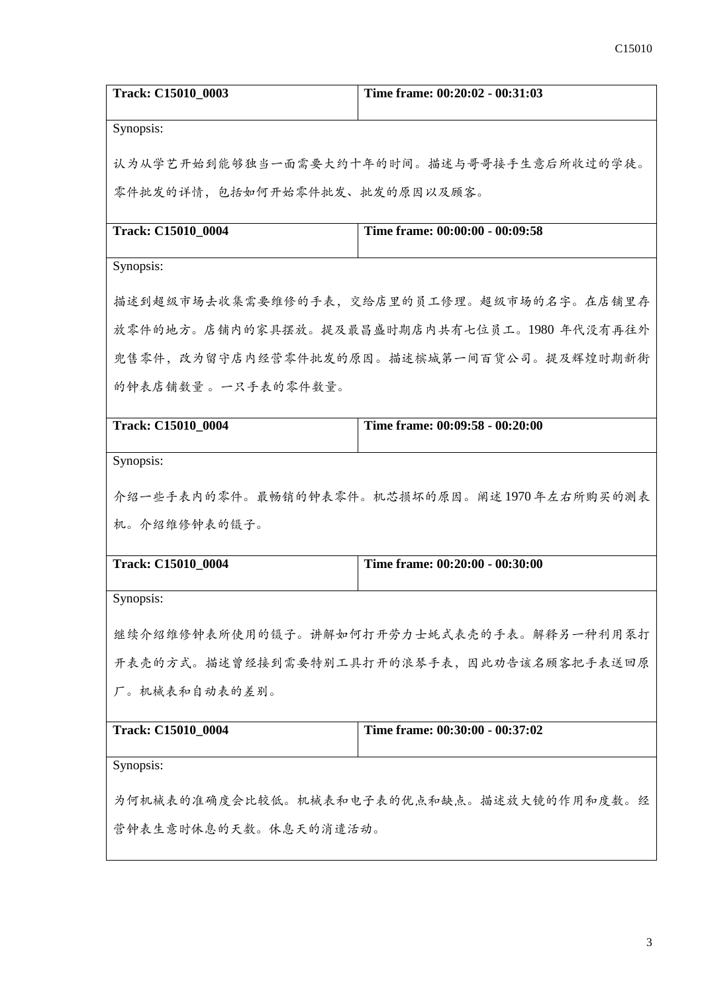| <b>Track: C15010 0003</b>                 | Time frame: 00:20:02 - 00:31:03             |
|-------------------------------------------|---------------------------------------------|
| Synopsis:                                 |                                             |
|                                           | 认为从学艺开始到能够独当一面需要大约十年的时间。描述与哥哥接手生意后所收过的学徒。   |
| 零件批发的详情,包括如何开始零件批发、批发的原因以及顾客。             |                                             |
| Track: C15010_0004                        | Time frame: 00:00:00 - 00:09:58             |
|                                           |                                             |
| Synopsis:                                 |                                             |
|                                           | 描述到超级市场去收集需要维修的手表,交给店里的员工修理。超级市场的名字。在店铺里存   |
|                                           | 放零件的地方。店铺内的家具摆放。提及最昌盛时期店内共有七位员工。1980年代没有再往外 |
|                                           | 兜售零件,改为留守店内经营零件批发的原因。描述槟城第一间百货公司。提及辉煌时期新街   |
| 的钟表店铺数量。一只手表的零件数量。                        |                                             |
| Track: C15010_0004                        | Time frame: 00:09:58 - 00:20:00             |
|                                           |                                             |
| Synopsis:                                 |                                             |
|                                           | 介绍一些手表内的零件。最畅销的钟表零件。机芯损坏的原因。阐述1970年左右所购买的测表 |
| 机。介绍维修钟表的镊子。                              |                                             |
| Track: C15010_0004                        | Time frame: 00:20:00 - 00:30:00             |
| Synopsis:                                 |                                             |
|                                           | 继续介绍维修钟表所使用的镊子。讲解如何打开劳力士蚝式表壳的手表。解释另一种利用泵打   |
|                                           |                                             |
| 开表壳的方式。描述曾经接到需要特别工具打开的浪琴手表,因此劝告该名顾客把手表送回原 |                                             |
| 厂。机械表和自动表的差别。                             |                                             |
| Track: C15010_0004                        | Time frame: 00:30:00 - 00:37:02             |
| Synopsis:                                 |                                             |
|                                           | 为何机械表的准确度会比较低。机械表和电子表的优点和缺点。描述放大镜的作用和度数。经   |
| 营钟表生意时休息的天数。休息天的消遣活动。                     |                                             |
|                                           |                                             |
|                                           |                                             |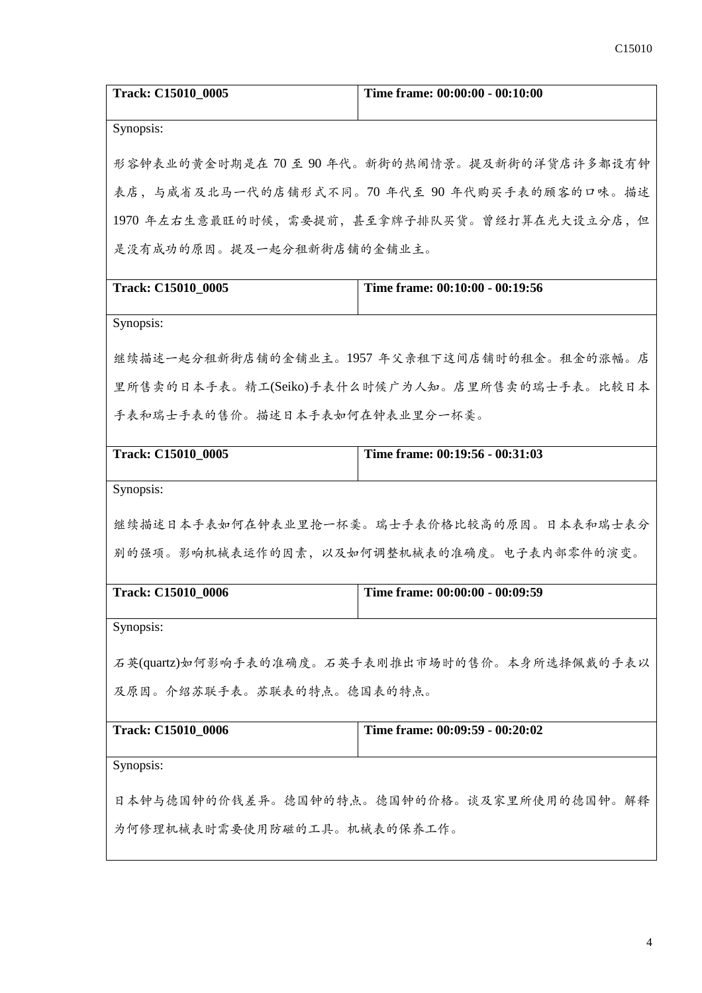| Track: C15010_0005                             | Time frame: 00:00:00 - 00:10:00              |  |
|------------------------------------------------|----------------------------------------------|--|
| Synopsis:                                      |                                              |  |
|                                                | 形容钟表业的黄金时期是在70至90年代。新街的热闹情景。提及新街的洋货店许多都设有钟   |  |
|                                                | 表店,与威省及北马一代的店铺形式不同。70 年代至 90 年代购买手表的顾客的口味。描述 |  |
|                                                | 1970年左右生意最旺的时候,需要提前,甚至拿牌子排队买货。曾经打算在光大设立分店,但  |  |
| 是没有成功的原因。提及一起分租新街店铺的金铺业主。                      |                                              |  |
| Track: C15010_0005                             | Time frame: 00:10:00 - 00:19:56              |  |
| Synopsis:                                      |                                              |  |
| 继续描述一起分租新街店铺的金铺业主。1957 年父亲租下这间店铺时的租金。租金的涨幅。店   |                                              |  |
| 里所售卖的日本手表。精工(Seiko)手表什么时候广为人知。店里所售卖的瑞士手表。比较日本  |                                              |  |
| 手表和瑞士手表的售价。描述日本手表如何在钟表业里分一杯羹。                  |                                              |  |
| Track: C15010_0005                             | Time frame: 00:19:56 - 00:31:03              |  |
| Synopsis:                                      |                                              |  |
|                                                | 继续描述日本手表如何在钟表业里抢一杯羹。瑞士手表价格比较高的原因。日本表和瑞士表分    |  |
|                                                | 别的强项。影响机械表运作的因素,以及如何调整机械表的准确度。电子表内部零件的演变。    |  |
| Track: C15010_0006                             | Time frame: 00:00:00 - 00:09:59              |  |
| Synopsis:                                      |                                              |  |
| 石英(quartz)如何影响手表的准确度。石英手表刚推出市场时的售价。本身所选择佩戴的手表以 |                                              |  |
| 及原因。介绍苏联手表。苏联表的特点。德国表的特点。                      |                                              |  |
| Track: C15010_0006                             | Time frame: 00:09:59 - 00:20:02              |  |
| Synopsis:                                      |                                              |  |
| 日本钟与德国钟的价钱差异。德国钟的特点。德国钟的价格。谈及家里所使用的德国钟。解释      |                                              |  |
| 为何修理机械表时需要使用防磁的工具。机械表的保养工作。                    |                                              |  |
|                                                |                                              |  |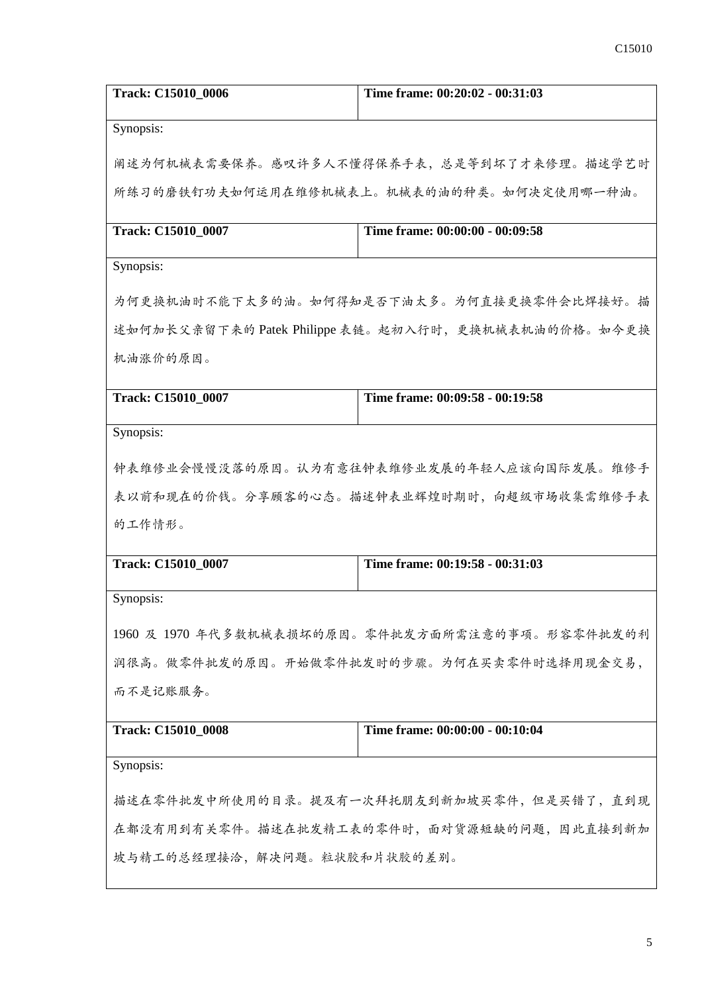| Track: C15010_0006                        | Time frame: 00:20:02 - 00:31:03                      |  |
|-------------------------------------------|------------------------------------------------------|--|
| Synopsis:                                 |                                                      |  |
|                                           | 阐述为何机械表需要保养。感叹许多人不懂得保养手表,总是等到坏了才来修理。描述学艺时            |  |
|                                           | 所练习的磨铁钉功夫如何运用在维修机械表上。机械表的油的种类。如何决定使用哪一种油。            |  |
| Track: C15010 0007                        | Time frame: 00:00:00 - 00:09:58                      |  |
|                                           |                                                      |  |
| Synopsis:                                 |                                                      |  |
|                                           | 为何更换机油时不能下太多的油。如何得知是否下油太多。为何直接更换零件会比焊接好。描            |  |
|                                           | 述如何加长父亲留下来的 Patek Philippe 表链。起初入行时, 更换机械表机油的价格。如今更换 |  |
| 机油涨价的原因。                                  |                                                      |  |
| Track: C15010_0007                        | Time frame: 00:09:58 - 00:19:58                      |  |
|                                           |                                                      |  |
| Synopsis:                                 |                                                      |  |
|                                           | 钟表维修业会慢慢没落的原因。认为有意往钟表维修业发展的年轻人应该向国际发展。维修手            |  |
|                                           | 表以前和现在的价钱。分享顾客的心态。描述钟表业辉煌时期时,向超级市场收集需维修手表            |  |
| 的工作情形。                                    |                                                      |  |
| Track: C15010_0007                        | Time frame: 00:19:58 - 00:31:03                      |  |
| Synopsis:                                 |                                                      |  |
|                                           | 1960 及 1970 年代多数机械表损坏的原因。零件批发方面所需注意的事项。形容零件批发的利      |  |
| 润很高。做零件批发的原因。开始做零件批发时的步骤。为何在买卖零件时选择用现金交易, |                                                      |  |
| 而不是记账服务。                                  |                                                      |  |
| <b>Track: C15010_0008</b>                 | Time frame: 00:00:00 - 00:10:04                      |  |
| Synopsis:                                 |                                                      |  |
| 描述在零件批发中所使用的目录。提及有一次拜托朋友到新加坡买零件,但是买错了,直到现 |                                                      |  |
| 在都没有用到有关零件。描述在批发精工表的零件时,面对货源短缺的问题,因此直接到新加 |                                                      |  |
| 坡与精工的总经理接洽,解决问题。粒状胶和片状胶的差别。               |                                                      |  |
|                                           |                                                      |  |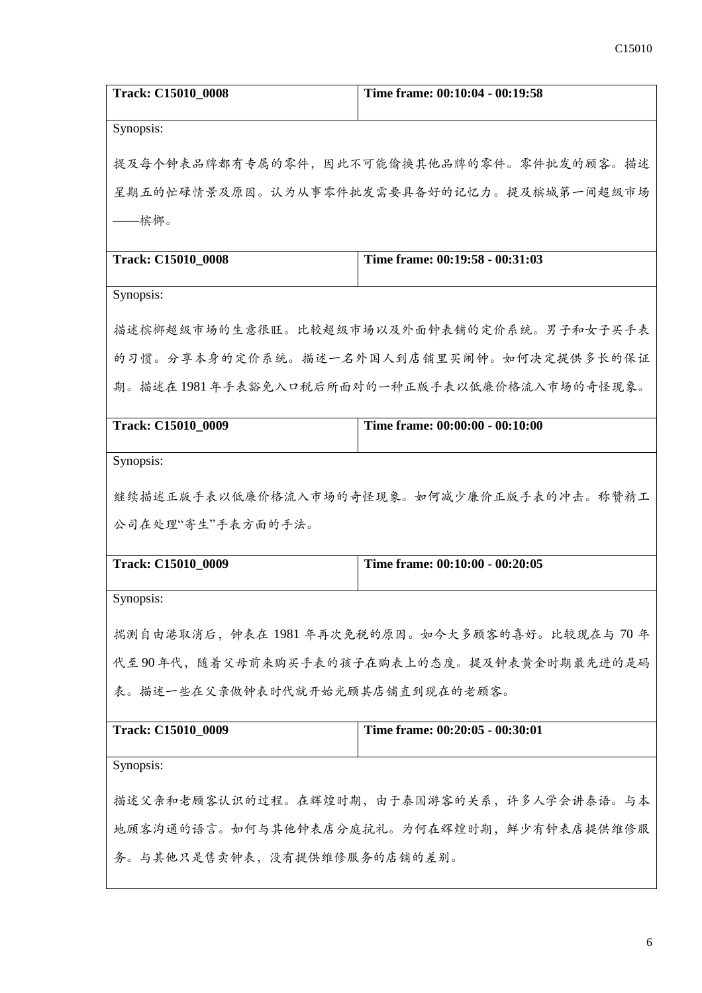| Track: C15010_0008                                    | Time frame: 00:10:04 - 00:19:58           |
|-------------------------------------------------------|-------------------------------------------|
| Synopsis:                                             |                                           |
| 提及每个钟表品牌都有专属的零件,因此不可能偷换其他品牌的零件。零件批发的顾客。描述             |                                           |
|                                                       | 星期五的忙碌情景及原因。认为从事零件批发需要具备好的记忆力。提及槟城第一间超级市场 |
| —槟榔。                                                  |                                           |
| Track: C15010_0008                                    | Time frame: 00:19:58 - 00:31:03           |
| Synopsis:                                             |                                           |
|                                                       | 描述槟榔超级市场的生意很旺。比较超级市场以及外面钟表铺的定价系统。男子和女子买手表 |
|                                                       | 的习惯。分享本身的定价系统。描述一名外国人到店铺里买闹钟。如何决定提供多长的保证  |
| 期。描述在1981年手表豁免入口税后所面对的一种正版手表以低廉价格流入市场的奇怪现象。           |                                           |
| Track: C15010_0009                                    | Time frame: 00:00:00 - 00:10:00           |
| Synopsis:                                             |                                           |
| 继续描述正版手表以低廉价格流入市场的奇怪现象。如何减少廉价正版手表的冲击。称赞精工             |                                           |
| 公司在处理"寄生"手表方面的手法。                                     |                                           |
| Track: C15010_0009                                    | Time frame: 00:10:00 - 00:20:05           |
| Synopsis:                                             |                                           |
| 揣测自由港取消后,钟表在1981年再次免税的原因。如今大多顾客的喜好。比较现在与70年           |                                           |
| 代至90年代,随着父母前来购买手表的孩子在购表上的态度。提及钟表黄金时期最先进的是码            |                                           |
| 表。描述一些在父亲做钟表时代就开始光顾其店铺直到现在的老顾客。                       |                                           |
| Time frame: 00:20:05 - 00:30:01<br>Track: C15010 0009 |                                           |
| Synopsis:                                             |                                           |
| 描述父亲和老顾客认识的过程。在辉煌时期,由于泰国游客的关系,许多人学会讲泰语。与本             |                                           |
| 地顾客沟通的语言。如何与其他钟表店分庭抗礼。为何在辉煌时期,鲜少有钟表店提供维修服             |                                           |
| 务。与其他只是售卖钟表,没有提供维修服务的店铺的差别。                           |                                           |
|                                                       |                                           |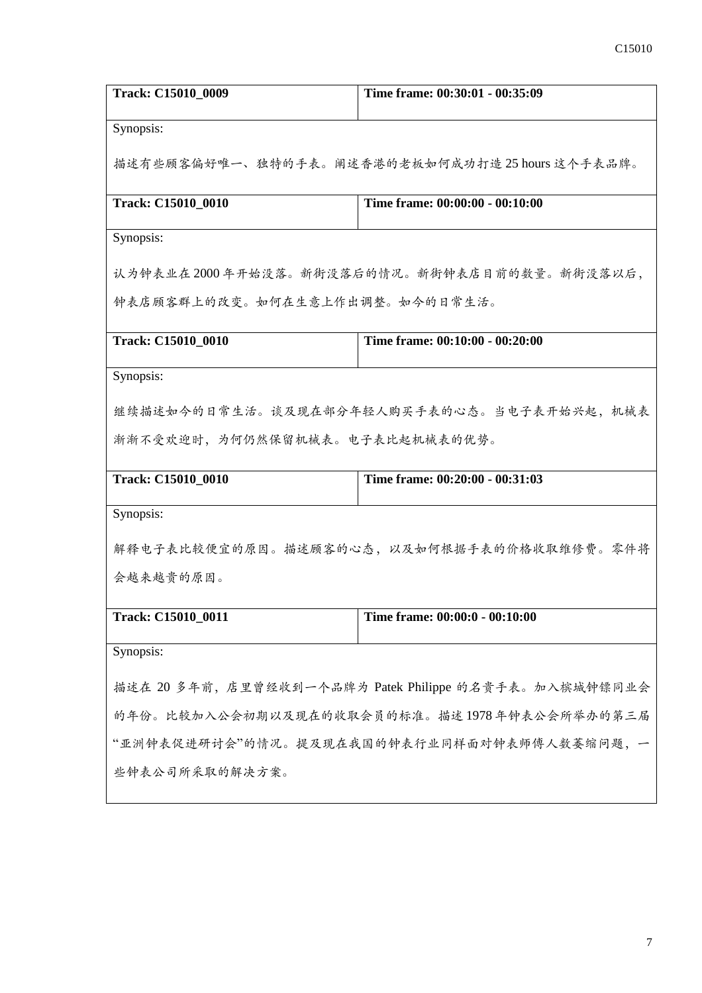| Track: C15010 0009                                     | Time frame: 00:30:01 - 00:35:09                 |
|--------------------------------------------------------|-------------------------------------------------|
| Synopsis:                                              |                                                 |
|                                                        | 描述有些顾客偏好唯一、独特的手表。阐述香港的老板如何成功打造 25 hours 这个手表品牌。 |
| Track: C15010_0010                                     | Time frame: 00:00:00 - 00:10:00                 |
| Synopsis:                                              |                                                 |
|                                                        | 认为钟表业在2000年开始没落。新街没落后的情况。新街钟表店目前的数量。新街没落以后,     |
| 钟表店顾客群上的改变。如何在生意上作出调整。如今的日常生活。                         |                                                 |
| Track: C15010_0010                                     | Time frame: 00:10:00 - 00:20:00                 |
| Synopsis:                                              |                                                 |
|                                                        | 继续描述如今的日常生活。谈及现在部分年轻人购买手表的心态。当电子表开始兴起,机械表       |
| 渐渐不受欢迎时,为何仍然保留机械表。电子表比起机械表的优势。                         |                                                 |
| Track: C15010_0010                                     | Time frame: 00:20:00 - 00:31:03                 |
| Synopsis:                                              |                                                 |
|                                                        | 解释电子表比较便宜的原因。描述顾客的心态,以及如何根据手表的价格收取维修费。零件将       |
| 会越来越贵的原因。                                              |                                                 |
| Track: C15010_0011                                     | Time frame: 00:00:0 - 00:10:00                  |
| Synopsis:                                              |                                                 |
| 描述在 20 多年前, 店里曾经收到一个品牌为 Patek Philippe 的名贵手表。加入槟城钟镖同业会 |                                                 |
| 的年份。比较加入公会初期以及现在的收取会员的标准。描述1978年钟表公会所举办的第三届            |                                                 |
| "亚洲钟表促进研讨会"的情况。提及现在我国的钟表行业同样面对钟表师傅人数萎缩问题,一             |                                                 |
| 些钟表公司所采取的解决方案。                                         |                                                 |
|                                                        |                                                 |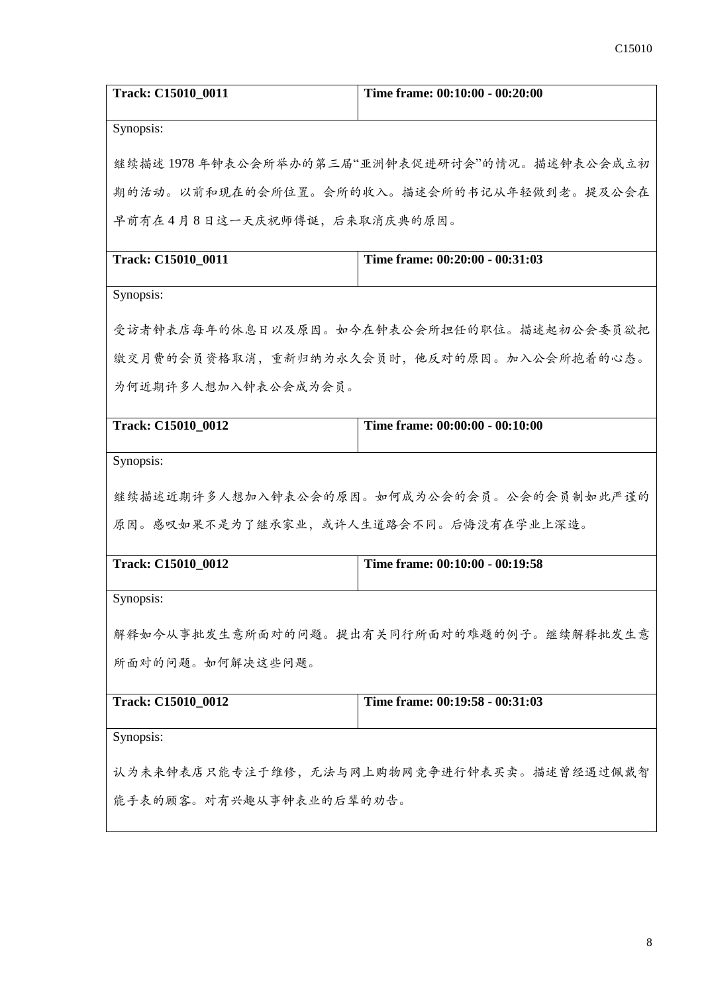| Track: C15010 0011                        | Time frame: 00:10:00 - 00:20:00                |
|-------------------------------------------|------------------------------------------------|
| Synopsis:                                 |                                                |
|                                           | 继续描述 1978 年钟表公会所举办的第三届"亚洲钟表促进研讨会"的情况。描述钟表公会成立初 |
|                                           | 期的活动。以前和现在的会所位置。会所的收入。描述会所的书记从年轻做到老。提及公会在      |
| 早前有在4月8日这一天庆祝师傅诞,后来取消庆典的原因。               |                                                |
| Track: C15010_0011                        | Time frame: 00:20:00 - 00:31:03                |
| Synopsis:                                 |                                                |
|                                           | 受访者钟表店每年的休息日以及原因。如今在钟表公会所担任的职位。描述起初公会委员欲把      |
| 缴交月费的会员资格取消,重新归纳为永久会员时,他反对的原因。加入公会所抱着的心态。 |                                                |
| 为何近期许多人想加入钟表公会成为会员。                       |                                                |
| Track: C15010_0012                        | Time frame: 00:00:00 - 00:10:00                |
| Synopsis:                                 |                                                |
|                                           | 继续描述近期许多人想加入钟表公会的原因。如何成为公会的会员。公会的会员制如此严谨的      |
| 原因。感叹如果不是为了继承家业,或许人生道路会不同。后悔没有在学业上深造。     |                                                |
| Track: C15010_0012                        | Time frame: 00:10:00 - 00:19:58                |
| Synopsis:                                 |                                                |
| 解释如今从事批发生意所面对的问题。提出有关同行所面对的难题的例子。继续解释批发生意 |                                                |
| 所面对的问题。如何解决这些问题。                          |                                                |
| Track: C15010_0012                        | Time frame: 00:19:58 - 00:31:03                |
| Synopsis:                                 |                                                |
| 认为未来钟表店只能专注于维修,无法与网上购物网竞争进行钟表买卖。描述曾经遇过佩戴智 |                                                |
| 能手表的顾客。对有兴趣从事钟表业的后辈的劝告。                   |                                                |
|                                           |                                                |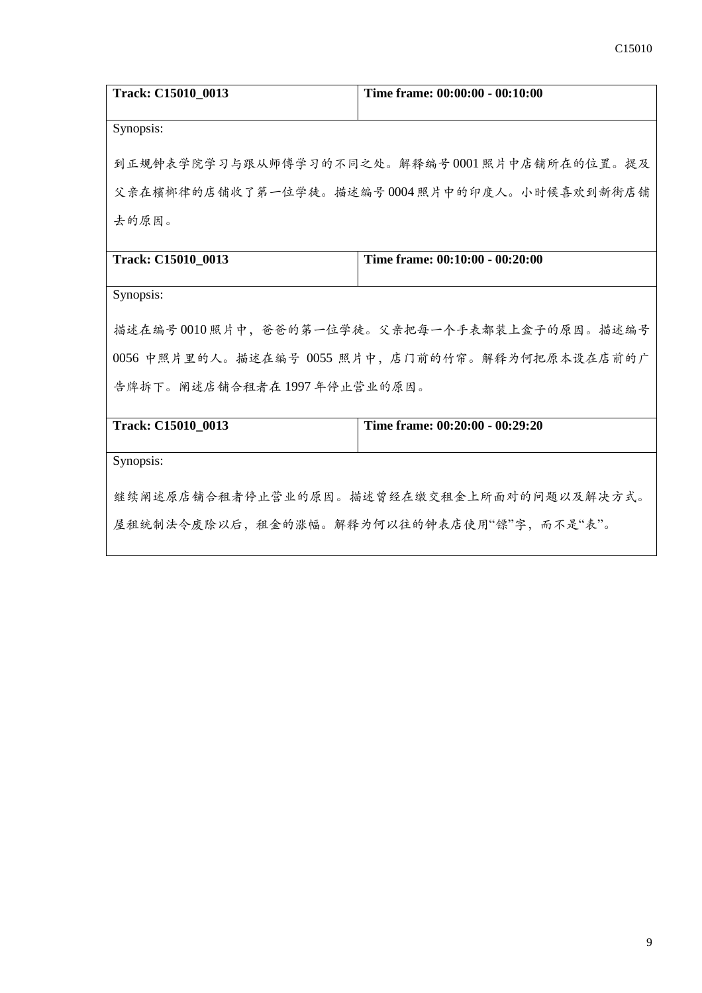| Track: C15010_0013                               | Time frame: 00:00:00 - 00:10:00 |  |
|--------------------------------------------------|---------------------------------|--|
| Synopsis:                                        |                                 |  |
| 到正规钟表学院学习与跟从师傅学习的不同之处。解释编号0001照片中店铺所在的位置。提及      |                                 |  |
| 父亲在檳榔律的店铺收了第一位学徒。描述编号0004照片中的印度人。小时候喜欢到新街店铺      |                                 |  |
| 去的原因。                                            |                                 |  |
|                                                  |                                 |  |
| Track: C15010_0013                               | Time frame: 00:10:00 - 00:20:00 |  |
| Synopsis:                                        |                                 |  |
| 描述在编号0010照片中,爸爸的第一位学徒。父亲把每一个手表都装上盒子的原因。描述编号      |                                 |  |
| 0056 中照片里的人。描述在编号 0055 照片中, 店门前的竹帘。解释为何把原本设在店前的广 |                                 |  |
| 告牌拆下。阐述店铺合租者在1997年停止营业的原因。                       |                                 |  |
|                                                  |                                 |  |
| Track: C15010 0013                               | Time frame: 00:20:00 - 00:29:20 |  |
| Synopsis:                                        |                                 |  |
| 继续阐述原店铺合租者停止营业的原因。描述曾经在缴交租金上所面对的问题以及解决方式。        |                                 |  |
| 屋租统制法令废除以后,租金的涨幅。解释为何以往的钟表店使用"镖"字,而不是"表"。        |                                 |  |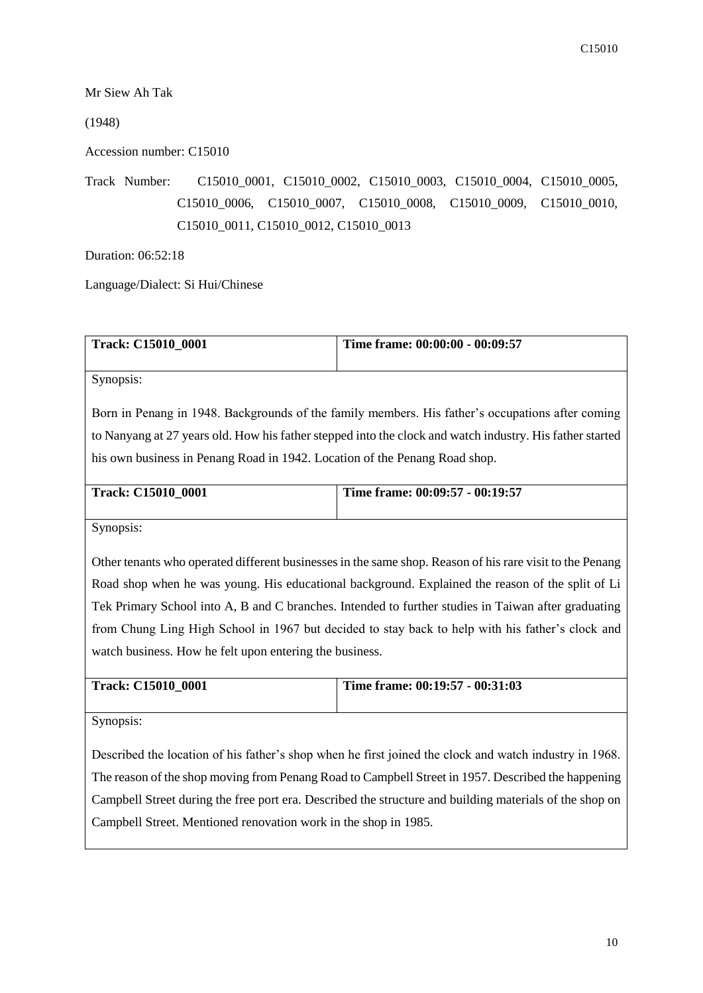Mr Siew Ah Tak

(1948)

Accession number: C15010

Track Number: C15010\_0001, C15010\_0002, C15010\_0003, C15010\_0004, C15010\_0005, C15010\_0006, C15010\_0007, C15010\_0008, C15010\_0009, C15010\_0010, C15010\_0011, C15010\_0012, C15010\_0013

Duration: 06:52:18

Language/Dialect: Si Hui/Chinese

| <b>Track: C15010 0001</b> | Time frame: 00:00:00 - 00:09:57 |
|---------------------------|---------------------------------|
|                           |                                 |

Synopsis:

Born in Penang in 1948. Backgrounds of the family members. His father's occupations after coming to Nanyang at 27 years old. How his father stepped into the clock and watch industry. His father started his own business in Penang Road in 1942. Location of the Penang Road shop.

| <b>Track: C15010 0001</b> | Time frame: $00:09:57 - 00:19:57$ |
|---------------------------|-----------------------------------|
|                           |                                   |

Synopsis:

Other tenants who operated different businesses in the same shop. Reason of his rare visit to the Penang Road shop when he was young. His educational background. Explained the reason of the split of Li Tek Primary School into A, B and C branches. Intended to further studies in Taiwan after graduating from Chung Ling High School in 1967 but decided to stay back to help with his father's clock and watch business. How he felt upon entering the business.

| <b>Track: C15010 0001</b> | Time frame: 00:19:57 - 00:31:03 |
|---------------------------|---------------------------------|
|                           |                                 |

Synopsis:

Described the location of his father's shop when he first joined the clock and watch industry in 1968. The reason of the shop moving from Penang Road to Campbell Street in 1957. Described the happening Campbell Street during the free port era. Described the structure and building materials of the shop on Campbell Street. Mentioned renovation work in the shop in 1985.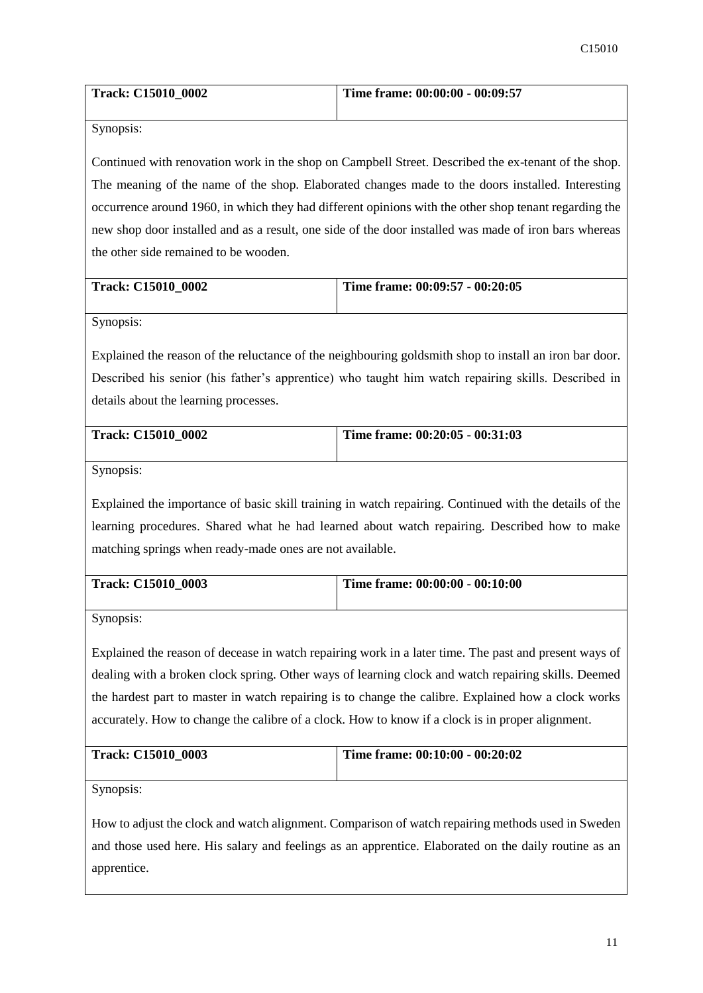| <b>Track: C15010 0002</b> | Time frame: 00:00:00 - 00:09:57 |
|---------------------------|---------------------------------|
|                           |                                 |

Continued with renovation work in the shop on Campbell Street. Described the ex-tenant of the shop. The meaning of the name of the shop. Elaborated changes made to the doors installed. Interesting occurrence around 1960, in which they had different opinions with the other shop tenant regarding the new shop door installed and as a result, one side of the door installed was made of iron bars whereas the other side remained to be wooden.

| <b>Track: C15010 0002</b> | Time frame: $00:09:57 - 00:20:05$ |
|---------------------------|-----------------------------------|
|                           |                                   |

Synopsis:

Explained the reason of the reluctance of the neighbouring goldsmith shop to install an iron bar door. Described his senior (his father's apprentice) who taught him watch repairing skills. Described in details about the learning processes.

| <b>Track: C15010 0002</b> | Time frame: 00:20:05 - 00:31:03 |
|---------------------------|---------------------------------|
|                           |                                 |

Synopsis:

Explained the importance of basic skill training in watch repairing. Continued with the details of the learning procedures. Shared what he had learned about watch repairing. Described how to make matching springs when ready-made ones are not available.

| <b>Track: C15010 0003</b> | Time frame: 00:00:00 - 00:10:00 |
|---------------------------|---------------------------------|
|                           |                                 |

Synopsis:

Explained the reason of decease in watch repairing work in a later time. The past and present ways of dealing with a broken clock spring. Other ways of learning clock and watch repairing skills. Deemed the hardest part to master in watch repairing is to change the calibre. Explained how a clock works accurately. How to change the calibre of a clock. How to know if a clock is in proper alignment.

| <b>Track: C15010 0003</b> | Time frame: 00:10:00 - 00:20:02 |
|---------------------------|---------------------------------|
|                           |                                 |

Synopsis:

How to adjust the clock and watch alignment. Comparison of watch repairing methods used in Sweden and those used here. His salary and feelings as an apprentice. Elaborated on the daily routine as an apprentice.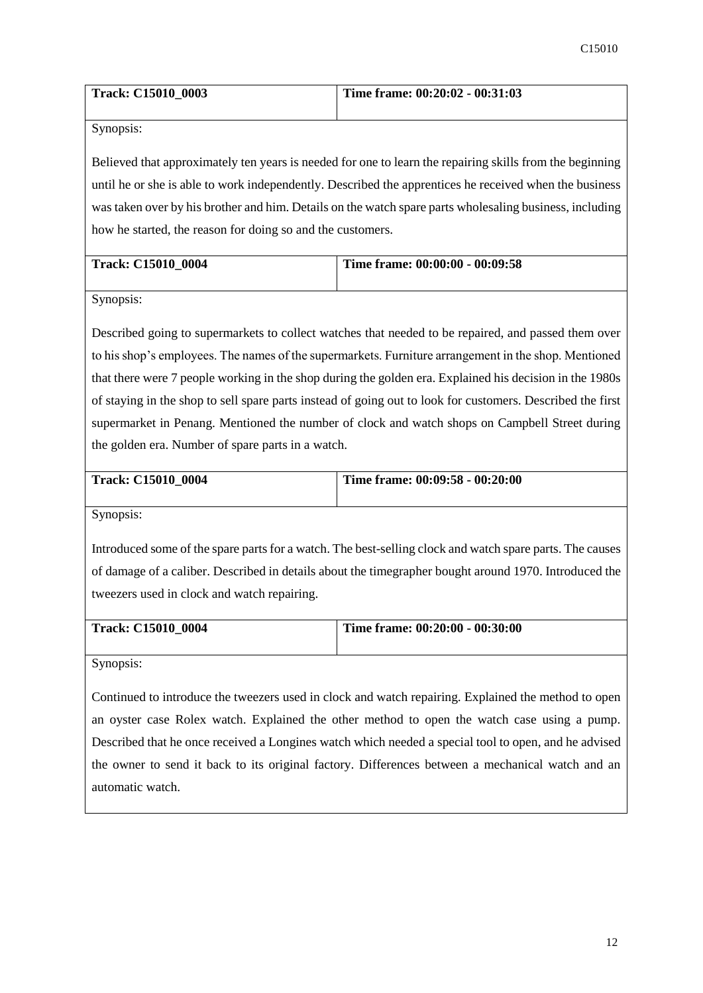| <b>Track: C15010 0003</b> | Time frame: $00:20:02 - 00:31:03$ |
|---------------------------|-----------------------------------|
|                           |                                   |

Believed that approximately ten years is needed for one to learn the repairing skills from the beginning until he or she is able to work independently. Described the apprentices he received when the business was taken over by his brother and him. Details on the watch spare parts wholesaling business, including how he started, the reason for doing so and the customers.

| <b>Track: C15010 0004</b> | Time frame: 00:00:00 - 00:09:58 |
|---------------------------|---------------------------------|
|                           |                                 |

Synopsis:

Described going to supermarkets to collect watches that needed to be repaired, and passed them over to his shop's employees. The names of the supermarkets. Furniture arrangement in the shop. Mentioned that there were 7 people working in the shop during the golden era. Explained his decision in the 1980s of staying in the shop to sell spare parts instead of going out to look for customers. Described the first supermarket in Penang. Mentioned the number of clock and watch shops on Campbell Street during the golden era. Number of spare parts in a watch.

| <b>Track: C15010 0004</b> | Time frame: 00:09:58 - 00:20:00 |
|---------------------------|---------------------------------|
|                           |                                 |
|                           |                                 |

Synopsis:

Introduced some of the spare parts for a watch. The best-selling clock and watch spare parts. The causes of damage of a caliber. Described in details about the timegrapher bought around 1970. Introduced the tweezers used in clock and watch repairing.

| <b>Track: C15010 0004</b> | Time frame: 00:20:00 - 00:30:00 |
|---------------------------|---------------------------------|
|                           |                                 |

Synopsis:

Continued to introduce the tweezers used in clock and watch repairing. Explained the method to open an oyster case Rolex watch. Explained the other method to open the watch case using a pump. Described that he once received a Longines watch which needed a special tool to open, and he advised the owner to send it back to its original factory. Differences between a mechanical watch and an automatic watch.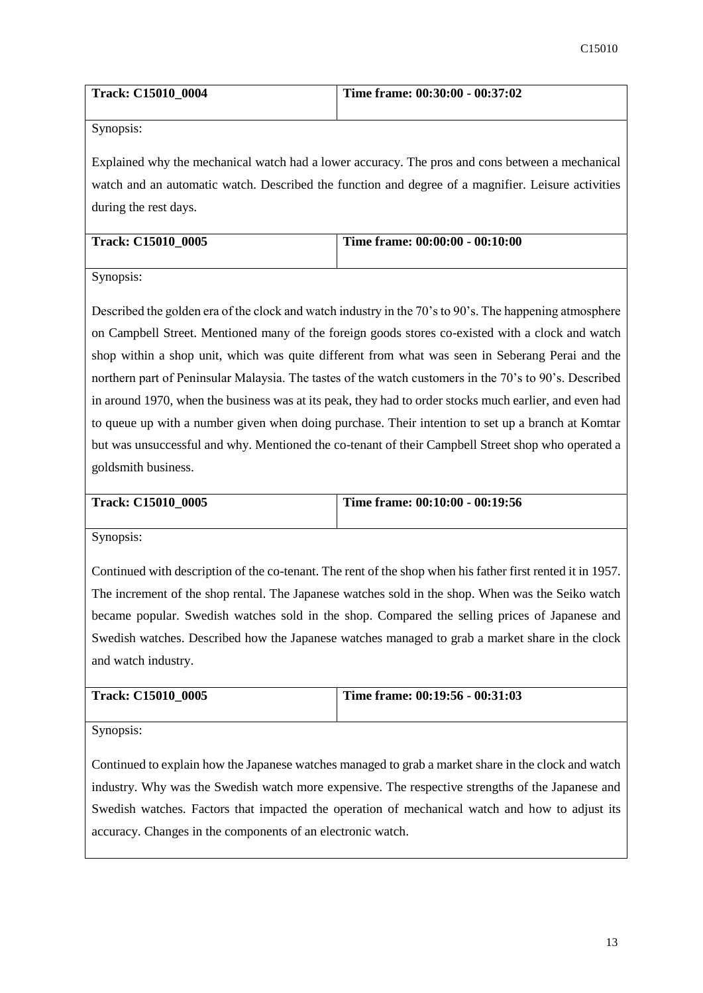| <b>Track: C15010 0004</b> | Time frame: 00:30:00 - 00:37:02 |
|---------------------------|---------------------------------|
|                           |                                 |

Explained why the mechanical watch had a lower accuracy. The pros and cons between a mechanical watch and an automatic watch. Described the function and degree of a magnifier. Leisure activities during the rest days.

| <b>Track: C15010 0005</b> | Time frame: 00:00:00 - 00:10:00 |
|---------------------------|---------------------------------|
|                           |                                 |

Synopsis:

Described the golden era of the clock and watch industry in the 70's to 90's. The happening atmosphere on Campbell Street. Mentioned many of the foreign goods stores co-existed with a clock and watch shop within a shop unit, which was quite different from what was seen in Seberang Perai and the northern part of Peninsular Malaysia. The tastes of the watch customers in the 70's to 90's. Described in around 1970, when the business was at its peak, they had to order stocks much earlier, and even had to queue up with a number given when doing purchase. Their intention to set up a branch at Komtar but was unsuccessful and why. Mentioned the co-tenant of their Campbell Street shop who operated a goldsmith business.

| Track: C15010 0005 | Time frame: $00:10:00 - 00:19:56$ |
|--------------------|-----------------------------------|

Synopsis:

Continued with description of the co-tenant. The rent of the shop when his father first rented it in 1957. The increment of the shop rental. The Japanese watches sold in the shop. When was the Seiko watch became popular. Swedish watches sold in the shop. Compared the selling prices of Japanese and Swedish watches. Described how the Japanese watches managed to grab a market share in the clock and watch industry.

| <b>Track: C15010 0005</b> | Time frame: 00:19:56 - 00:31:03 |
|---------------------------|---------------------------------|
|                           |                                 |

Synopsis:

Continued to explain how the Japanese watches managed to grab a market share in the clock and watch industry. Why was the Swedish watch more expensive. The respective strengths of the Japanese and Swedish watches. Factors that impacted the operation of mechanical watch and how to adjust its accuracy. Changes in the components of an electronic watch.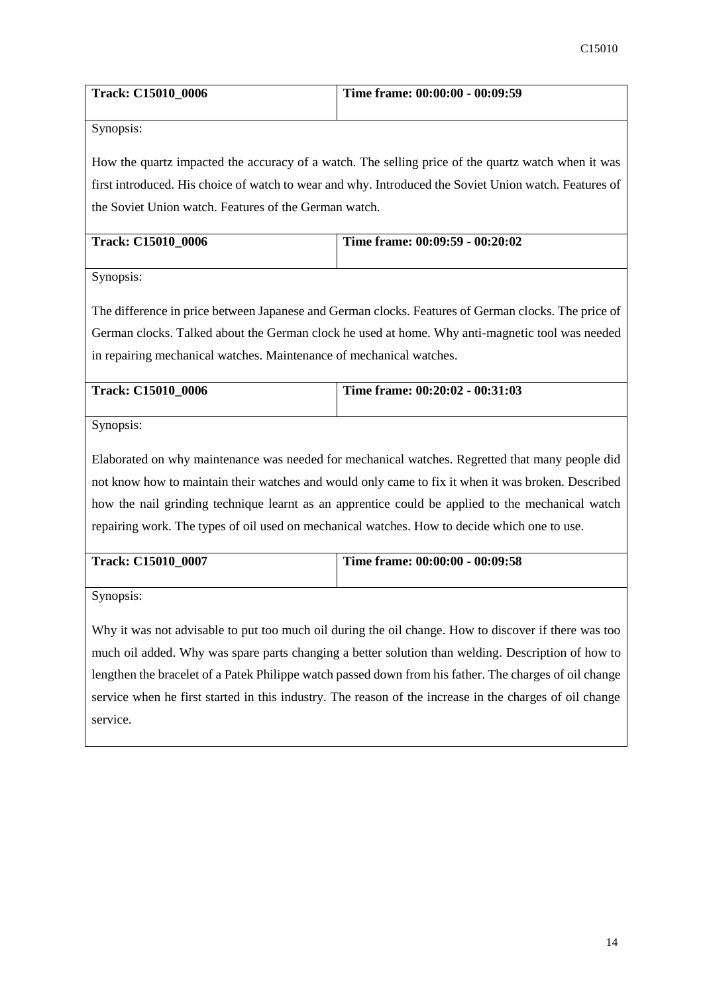| <b>Track: C15010 0006</b> | Time frame: 00:00:00 - 00:09:59 |
|---------------------------|---------------------------------|
|                           |                                 |

How the quartz impacted the accuracy of a watch. The selling price of the quartz watch when it was first introduced. His choice of watch to wear and why. Introduced the Soviet Union watch. Features of the Soviet Union watch. Features of the German watch.

| <b>Track: C15010 0006</b> | Time frame: 00:09:59 - 00:20:02 |
|---------------------------|---------------------------------|
|                           |                                 |

Synopsis:

The difference in price between Japanese and German clocks. Features of German clocks. The price of German clocks. Talked about the German clock he used at home. Why anti-magnetic tool was needed in repairing mechanical watches. Maintenance of mechanical watches.

| <b>Track: C15010 0006</b> | Time frame: $00:20:02 - 00:31:03$ |
|---------------------------|-----------------------------------|
|                           |                                   |

Synopsis:

Elaborated on why maintenance was needed for mechanical watches. Regretted that many people did not know how to maintain their watches and would only came to fix it when it was broken. Described how the nail grinding technique learnt as an apprentice could be applied to the mechanical watch repairing work. The types of oil used on mechanical watches. How to decide which one to use.

| <b>Track: C15010 0007</b> | Time frame: 00:00:00 - 00:09:58 |
|---------------------------|---------------------------------|
|                           |                                 |
|                           |                                 |

Synopsis:

Why it was not advisable to put too much oil during the oil change. How to discover if there was too much oil added. Why was spare parts changing a better solution than welding. Description of how to lengthen the bracelet of a Patek Philippe watch passed down from his father. The charges of oil change service when he first started in this industry. The reason of the increase in the charges of oil change service.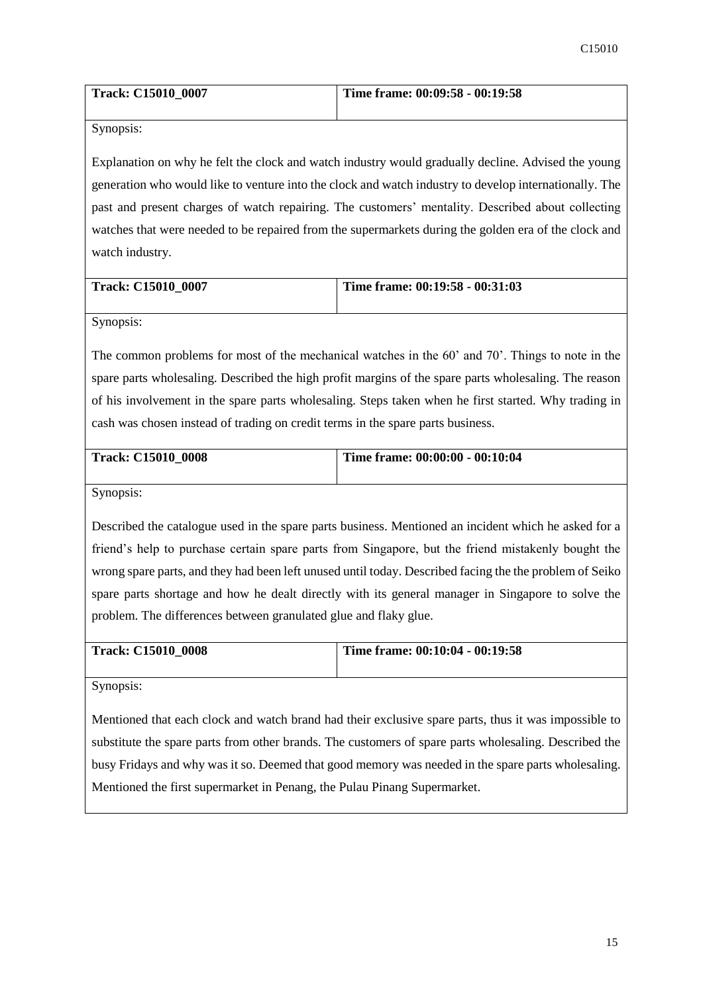| <b>Track: C15010 0007</b> | Time frame: 00:09:58 - 00:19:58 |
|---------------------------|---------------------------------|
|                           |                                 |

Explanation on why he felt the clock and watch industry would gradually decline. Advised the young generation who would like to venture into the clock and watch industry to develop internationally. The past and present charges of watch repairing. The customers' mentality. Described about collecting watches that were needed to be repaired from the supermarkets during the golden era of the clock and watch industry.

| <b>Track: C15010 0007</b> | Time frame: $00:19:58 - 00:31:03$ |
|---------------------------|-----------------------------------|
|                           |                                   |

Synopsis:

The common problems for most of the mechanical watches in the 60' and 70'. Things to note in the spare parts wholesaling. Described the high profit margins of the spare parts wholesaling. The reason of his involvement in the spare parts wholesaling. Steps taken when he first started. Why trading in cash was chosen instead of trading on credit terms in the spare parts business.

| <b>Track: C15010 0008</b> | Time frame: 00:00:00 - 00:10:04 |
|---------------------------|---------------------------------|
|                           |                                 |
|                           |                                 |

Synopsis:

Described the catalogue used in the spare parts business. Mentioned an incident which he asked for a friend's help to purchase certain spare parts from Singapore, but the friend mistakenly bought the wrong spare parts, and they had been left unused until today. Described facing the the problem of Seiko spare parts shortage and how he dealt directly with its general manager in Singapore to solve the problem. The differences between granulated glue and flaky glue.

| <b>Track: C15010 0008</b> | Time frame: 00:10:04 - 00:19:58 |
|---------------------------|---------------------------------|
|                           |                                 |

Synopsis:

Mentioned that each clock and watch brand had their exclusive spare parts, thus it was impossible to substitute the spare parts from other brands. The customers of spare parts wholesaling. Described the busy Fridays and why was it so. Deemed that good memory was needed in the spare parts wholesaling. Mentioned the first supermarket in Penang, the Pulau Pinang Supermarket.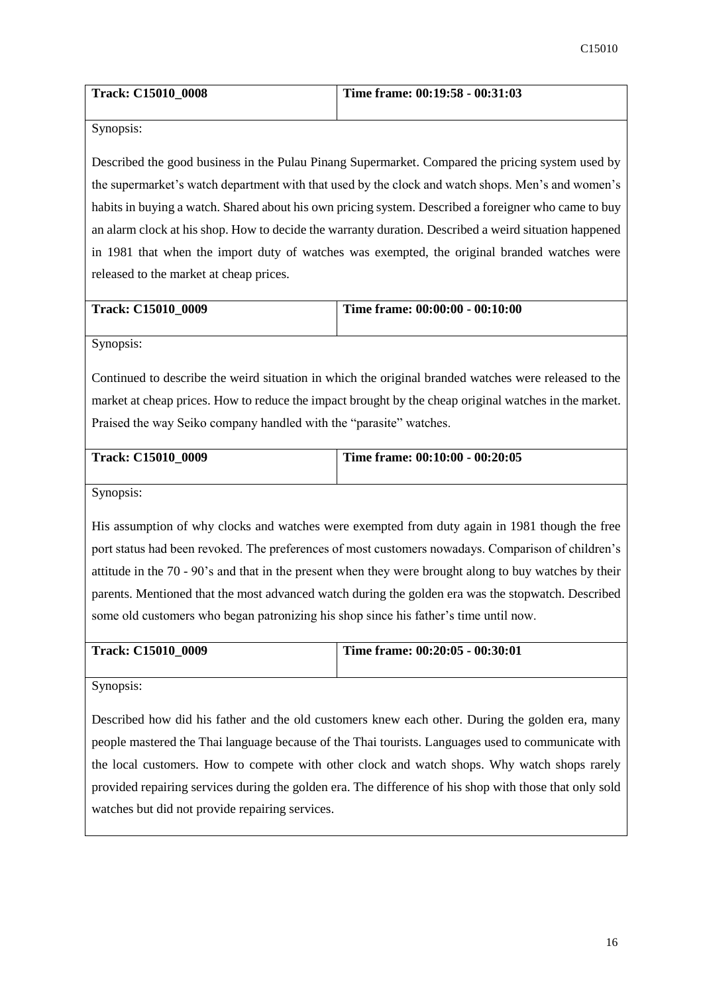| <b>Track: C15010 0008</b> | Time frame: $00:19:58 - 00:31:03$ |
|---------------------------|-----------------------------------|
|                           |                                   |

Described the good business in the Pulau Pinang Supermarket. Compared the pricing system used by the supermarket's watch department with that used by the clock and watch shops. Men's and women's habits in buying a watch. Shared about his own pricing system. Described a foreigner who came to buy an alarm clock at his shop. How to decide the warranty duration. Described a weird situation happened in 1981 that when the import duty of watches was exempted, the original branded watches were released to the market at cheap prices.

| <b>Track: C15010 0009</b> | Time frame: $00:00:00 - 00:10:00$ |
|---------------------------|-----------------------------------|
|                           |                                   |

Synopsis:

Continued to describe the weird situation in which the original branded watches were released to the market at cheap prices. How to reduce the impact brought by the cheap original watches in the market. Praised the way Seiko company handled with the "parasite" watches.

| <b>Track: C15010 0009</b> | Time frame: $00:10:00 - 00:20:05$ |
|---------------------------|-----------------------------------|
|                           |                                   |

Synopsis:

His assumption of why clocks and watches were exempted from duty again in 1981 though the free port status had been revoked. The preferences of most customers nowadays. Comparison of children's attitude in the 70 - 90's and that in the present when they were brought along to buy watches by their parents. Mentioned that the most advanced watch during the golden era was the stopwatch. Described some old customers who began patronizing his shop since his father's time until now.

| <b>Track: C15010 0009</b> | Time frame: $00:20:05 - 00:30:01$ |
|---------------------------|-----------------------------------|
|                           |                                   |

Synopsis:

Described how did his father and the old customers knew each other. During the golden era, many people mastered the Thai language because of the Thai tourists. Languages used to communicate with the local customers. How to compete with other clock and watch shops. Why watch shops rarely provided repairing services during the golden era. The difference of his shop with those that only sold watches but did not provide repairing services.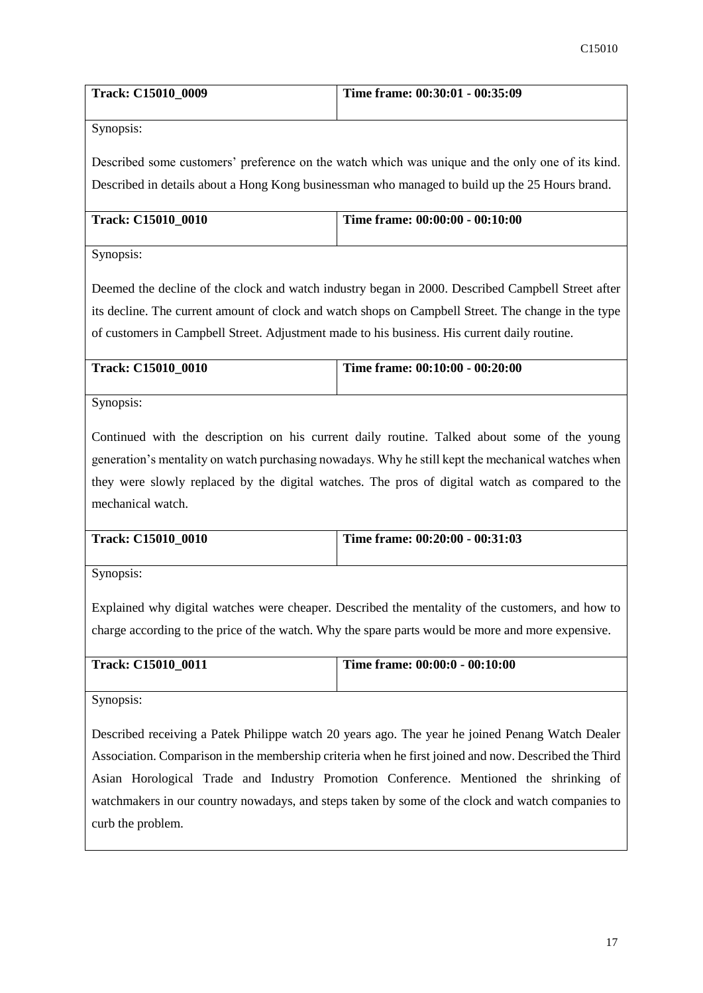| <b>Track: C15010 0009</b> | Time frame: 00:30:01 - 00:35:09 |
|---------------------------|---------------------------------|
|                           |                                 |

Described some customers' preference on the watch which was unique and the only one of its kind. Described in details about a Hong Kong businessman who managed to build up the 25 Hours brand.

| <b>Track: C15010 0010</b> | Time frame: 00:00:00 - 00:10:00 |
|---------------------------|---------------------------------|
|                           |                                 |

Synopsis:

Deemed the decline of the clock and watch industry began in 2000. Described Campbell Street after its decline. The current amount of clock and watch shops on Campbell Street. The change in the type of customers in Campbell Street. Adjustment made to his business. His current daily routine.

| <b>Track: C15010 0010</b> | Time frame: 00:10:00 - 00:20:00 |
|---------------------------|---------------------------------|
|                           |                                 |

Synopsis:

Continued with the description on his current daily routine. Talked about some of the young generation's mentality on watch purchasing nowadays. Why he still kept the mechanical watches when they were slowly replaced by the digital watches. The pros of digital watch as compared to the mechanical watch.

| <b>Track: C15010 0010</b> | Time frame: 00:20:00 - 00:31:03 |
|---------------------------|---------------------------------|
|                           |                                 |

Synopsis:

Explained why digital watches were cheaper. Described the mentality of the customers, and how to charge according to the price of the watch. Why the spare parts would be more and more expensive.

| <b>Track: C15010 0011</b> | Time frame: $00:00:0$ - $00:10:00$ |
|---------------------------|------------------------------------|
|                           |                                    |

Synopsis:

Described receiving a Patek Philippe watch 20 years ago. The year he joined Penang Watch Dealer Association. Comparison in the membership criteria when he first joined and now. Described the Third Asian Horological Trade and Industry Promotion Conference. Mentioned the shrinking of watchmakers in our country nowadays, and steps taken by some of the clock and watch companies to curb the problem.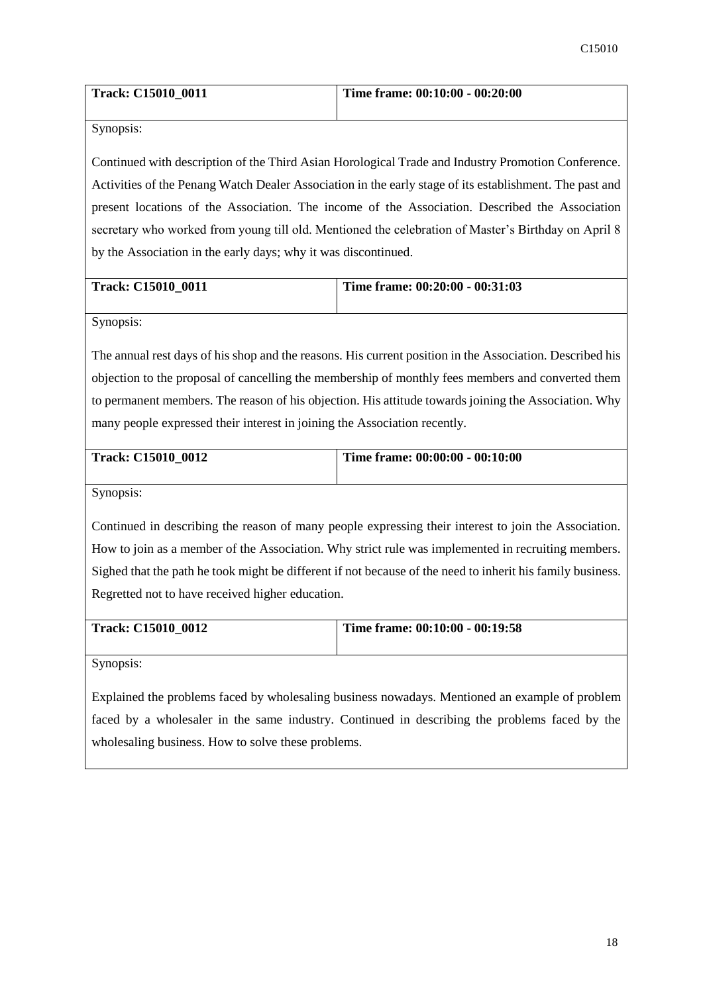| <b>Track: C15010 0011</b> | Time frame: $00:10:00 - 00:20:00$ |
|---------------------------|-----------------------------------|
|                           |                                   |

Continued with description of the Third Asian Horological Trade and Industry Promotion Conference. Activities of the Penang Watch Dealer Association in the early stage of its establishment. The past and present locations of the Association. The income of the Association. Described the Association secretary who worked from young till old. Mentioned the celebration of Master's Birthday on April 8 by the Association in the early days; why it was discontinued.

| <b>Track: C15010 0011</b> | Time frame: $00:20:00 - 00:31:03$ |
|---------------------------|-----------------------------------|
|                           |                                   |

Synopsis:

The annual rest days of his shop and the reasons. His current position in the Association. Described his objection to the proposal of cancelling the membership of monthly fees members and converted them to permanent members. The reason of his objection. His attitude towards joining the Association. Why many people expressed their interest in joining the Association recently.

| <b>Track: C15010 0012</b> | Time frame: $00:00:00$ - $00:10:00$ |
|---------------------------|-------------------------------------|
|                           |                                     |

Synopsis:

Continued in describing the reason of many people expressing their interest to join the Association. How to join as a member of the Association. Why strict rule was implemented in recruiting members. Sighed that the path he took might be different if not because of the need to inherit his family business. Regretted not to have received higher education.

| <b>Track: C15010 0012</b> | Time frame: $00:10:00 - 00:19:58$ |
|---------------------------|-----------------------------------|
|                           |                                   |
|                           |                                   |

Synopsis:

Explained the problems faced by wholesaling business nowadays. Mentioned an example of problem faced by a wholesaler in the same industry. Continued in describing the problems faced by the wholesaling business. How to solve these problems.